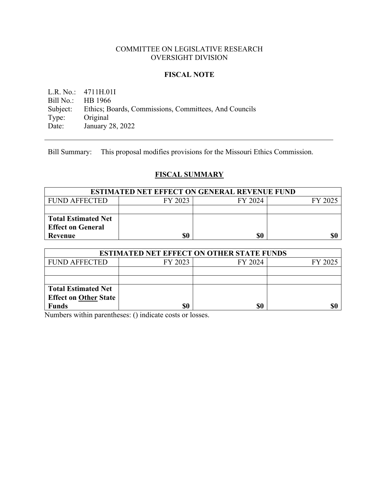# COMMITTEE ON LEGISLATIVE RESEARCH OVERSIGHT DIVISION

### **FISCAL NOTE**

L.R. No.: 4711H.01I<br>Bill No.: HB 1966 HB 1966 Subject: Ethics; Boards, Commissions, Committees, And Councils<br>Type: Original Type: Original<br>Date: January 2 January 28, 2022

Bill Summary: This proposal modifies provisions for the Missouri Ethics Commission.

# **FISCAL SUMMARY**

| <b>ESTIMATED NET EFFECT ON GENERAL REVENUE FUND</b> |         |         |         |  |
|-----------------------------------------------------|---------|---------|---------|--|
| FUND AFFECTED                                       | FY 2023 | FY 2024 | FY 2025 |  |
|                                                     |         |         |         |  |
| Total Estimated Net                                 |         |         |         |  |
| <b>Effect on General</b>                            |         |         |         |  |
| Revenue                                             | \$0     | \$0     |         |  |

| <b>ESTIMATED NET EFFECT ON OTHER STATE FUNDS</b> |         |         |         |  |
|--------------------------------------------------|---------|---------|---------|--|
| <b>FUND AFFECTED</b>                             | FY 2023 | FY 2024 | FY 2025 |  |
|                                                  |         |         |         |  |
|                                                  |         |         |         |  |
| <b>Total Estimated Net</b>                       |         |         |         |  |
| <b>Effect on Other State</b>                     |         |         |         |  |
| <b>Funds</b>                                     | \$0     | \$0     |         |  |

Numbers within parentheses: () indicate costs or losses.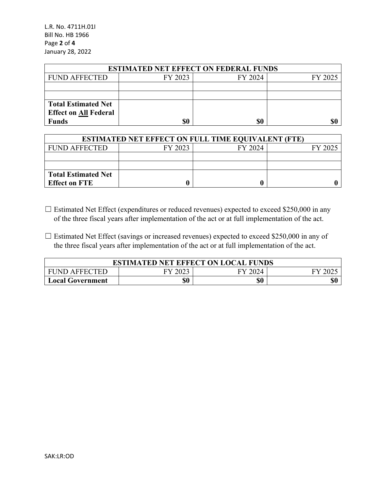L.R. No. 4711H.01I Bill No. HB 1966 Page **2** of **4** January 28, 2022

| <b>ESTIMATED NET EFFECT ON FEDERAL FUNDS</b> |         |         |         |  |  |
|----------------------------------------------|---------|---------|---------|--|--|
| <b>FUND AFFECTED</b>                         | FY 2023 | FY 2024 | FY 2025 |  |  |
|                                              |         |         |         |  |  |
|                                              |         |         |         |  |  |
| <b>Total Estimated Net</b>                   |         |         |         |  |  |
| <b>Effect on All Federal</b>                 |         |         |         |  |  |
| <b>Funds</b>                                 | \$0     | \$0     | \$0     |  |  |

| <b>ESTIMATED NET EFFECT ON FULL TIME EQUIVALENT (FTE)</b> |         |         |         |  |  |
|-----------------------------------------------------------|---------|---------|---------|--|--|
| <b>FUND AFFECTED</b>                                      | FY 2023 | FY 2024 | FY 2025 |  |  |
|                                                           |         |         |         |  |  |
|                                                           |         |         |         |  |  |
| <b>Total Estimated Net</b>                                |         |         |         |  |  |
| <b>Effect on FTE</b>                                      |         |         |         |  |  |

- ☐ Estimated Net Effect (expenditures or reduced revenues) expected to exceed \$250,000 in any of the three fiscal years after implementation of the act or at full implementation of the act.
- $\Box$  Estimated Net Effect (savings or increased revenues) expected to exceed \$250,000 in any of the three fiscal years after implementation of the act or at full implementation of the act.

| <b>ESTIMATED NET EFFECT ON LOCAL FUNDS</b> |      |         |  |  |
|--------------------------------------------|------|---------|--|--|
| <b>FUND AFFECTED</b>                       | 2023 | FY 2024 |  |  |
| <b>Local Government</b>                    | \$0  | \$0     |  |  |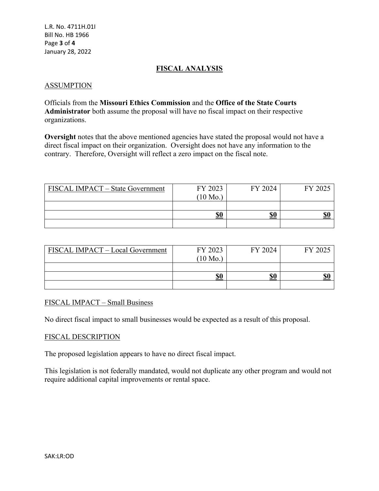# **FISCAL ANALYSIS**

### ASSUMPTION

Officials from the **Missouri Ethics Commission** and the **Office of the State Courts Administrator** both assume the proposal will have no fiscal impact on their respective organizations.

**Oversight** notes that the above mentioned agencies have stated the proposal would not have a direct fiscal impact on their organization. Oversight does not have any information to the contrary. Therefore, Oversight will reflect a zero impact on the fiscal note.

| FISCAL IMPACT – State Government | FY 2023            | FY 2024 | FY 2025 |
|----------------------------------|--------------------|---------|---------|
|                                  | $(10 \text{ Mo.})$ |         |         |
|                                  |                    |         |         |
|                                  | \$0                | \$0     | \$0     |
|                                  |                    |         |         |

| FISCAL IMPACT - Local Government | FY 2023<br>$(10 \text{ Mo.})$ | FY 2024 | FY 2025 |
|----------------------------------|-------------------------------|---------|---------|
|                                  |                               |         |         |
|                                  | \$0                           | \$0     | \$0     |
|                                  |                               |         |         |

### FISCAL IMPACT – Small Business

No direct fiscal impact to small businesses would be expected as a result of this proposal.

#### FISCAL DESCRIPTION

The proposed legislation appears to have no direct fiscal impact.

This legislation is not federally mandated, would not duplicate any other program and would not require additional capital improvements or rental space.